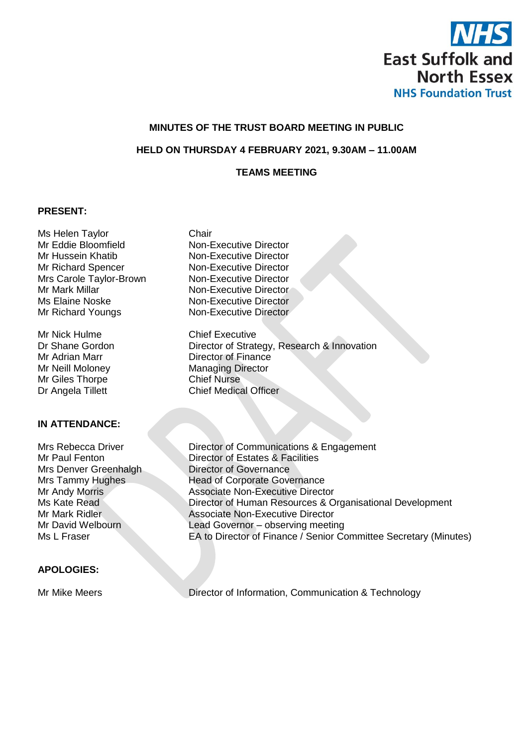

### **MINUTES OF THE TRUST BOARD MEETING IN PUBLIC**

### **HELD ON THURSDAY 4 FEBRUARY 2021, 9.30AM – 11.00AM**

## **TEAMS MEETING**

#### **PRESENT:**

Ms Helen Taylor **Chair** Mr Eddie Bloomfield Non-Executive Director Mr Hussein Khatib Non-Executive Director Mr Richard Spencer Non-Executive Director Mrs Carole Taylor-Brown Non-Executive Director<br>Mr Mark Millar Non-Executive Director Ms Elaine Noske Non-Executive Director Mr Richard Youngs Non-Executive Director

Mr Nick Hulme Chief Executive Mr Giles Thorpe<br>Dr Angela Tillett

#### **IN ATTENDANCE:**

Mrs Denver Greenhalgh Director of Governance

#### **APOLOGIES:**

Non-Executive Director

Dr Shane Gordon Director of Strategy, Research & Innovation Mr Adrian Marr **Director of Finance** Mr Neill Moloney<br>
Managing Director<br>
Mr Giles Thorpe<br>
Chief Nurse **Chief Medical Officer** 

Mrs Rebecca Driver Director of Communications & Engagement Mr Paul Fenton Director of Estates & Facilities Mrs Tammy Hughes<br>Mr Andy Morris Associate Non-Executive Direct<br>Associate Non-Executive Direct Associate Non-Executive Director Ms Kate Read Director of Human Resources & Organisational Development Mr Mark Ridler **Associate Non-Executive Director** Mr David Welbourn Lead Governor – observing meeting Ms L Fraser **EA to Director of Finance / Senior Committee Secretary (Minutes)** 

Mr Mike Meers **Director of Information, Communication & Technology**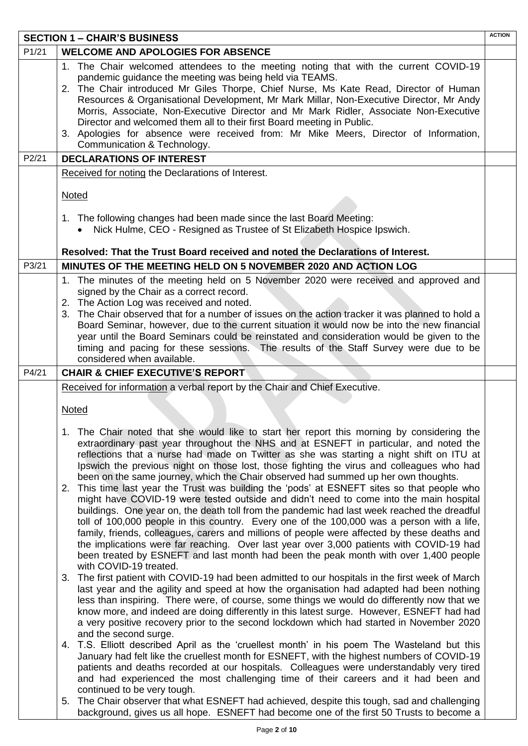| <b>SECTION 1 - CHAIR'S BUSINESS</b> |                                                                                                                                                                                                                                                                                                                                                                                                                                                                                                                                                                                                                                                                                                                                                                                                                                                                                                                                                                                                                                                                                                                                                                                                                                                                                                                                                                                                                                                                                                                                                                                                                                                                                                                                                                                                                                                                                                                                                                                  | <b>ACTION</b> |
|-------------------------------------|----------------------------------------------------------------------------------------------------------------------------------------------------------------------------------------------------------------------------------------------------------------------------------------------------------------------------------------------------------------------------------------------------------------------------------------------------------------------------------------------------------------------------------------------------------------------------------------------------------------------------------------------------------------------------------------------------------------------------------------------------------------------------------------------------------------------------------------------------------------------------------------------------------------------------------------------------------------------------------------------------------------------------------------------------------------------------------------------------------------------------------------------------------------------------------------------------------------------------------------------------------------------------------------------------------------------------------------------------------------------------------------------------------------------------------------------------------------------------------------------------------------------------------------------------------------------------------------------------------------------------------------------------------------------------------------------------------------------------------------------------------------------------------------------------------------------------------------------------------------------------------------------------------------------------------------------------------------------------------|---------------|
| P1/21                               | <b>WELCOME AND APOLOGIES FOR ABSENCE</b>                                                                                                                                                                                                                                                                                                                                                                                                                                                                                                                                                                                                                                                                                                                                                                                                                                                                                                                                                                                                                                                                                                                                                                                                                                                                                                                                                                                                                                                                                                                                                                                                                                                                                                                                                                                                                                                                                                                                         |               |
|                                     | 1. The Chair welcomed attendees to the meeting noting that with the current COVID-19<br>pandemic guidance the meeting was being held via TEAMS.<br>2. The Chair introduced Mr Giles Thorpe, Chief Nurse, Ms Kate Read, Director of Human<br>Resources & Organisational Development, Mr Mark Millar, Non-Executive Director, Mr Andy<br>Morris, Associate, Non-Executive Director and Mr Mark Ridler, Associate Non-Executive<br>Director and welcomed them all to their first Board meeting in Public.<br>3. Apologies for absence were received from: Mr Mike Meers, Director of Information,<br>Communication & Technology.                                                                                                                                                                                                                                                                                                                                                                                                                                                                                                                                                                                                                                                                                                                                                                                                                                                                                                                                                                                                                                                                                                                                                                                                                                                                                                                                                    |               |
| P2/21                               | <b>DECLARATIONS OF INTEREST</b>                                                                                                                                                                                                                                                                                                                                                                                                                                                                                                                                                                                                                                                                                                                                                                                                                                                                                                                                                                                                                                                                                                                                                                                                                                                                                                                                                                                                                                                                                                                                                                                                                                                                                                                                                                                                                                                                                                                                                  |               |
|                                     | Received for noting the Declarations of Interest.<br><b>Noted</b>                                                                                                                                                                                                                                                                                                                                                                                                                                                                                                                                                                                                                                                                                                                                                                                                                                                                                                                                                                                                                                                                                                                                                                                                                                                                                                                                                                                                                                                                                                                                                                                                                                                                                                                                                                                                                                                                                                                |               |
|                                     | 1. The following changes had been made since the last Board Meeting:<br>Nick Hulme, CEO - Resigned as Trustee of St Elizabeth Hospice Ipswich.<br>$\bullet$                                                                                                                                                                                                                                                                                                                                                                                                                                                                                                                                                                                                                                                                                                                                                                                                                                                                                                                                                                                                                                                                                                                                                                                                                                                                                                                                                                                                                                                                                                                                                                                                                                                                                                                                                                                                                      |               |
|                                     | Resolved: That the Trust Board received and noted the Declarations of Interest.                                                                                                                                                                                                                                                                                                                                                                                                                                                                                                                                                                                                                                                                                                                                                                                                                                                                                                                                                                                                                                                                                                                                                                                                                                                                                                                                                                                                                                                                                                                                                                                                                                                                                                                                                                                                                                                                                                  |               |
| P3/21                               | MINUTES OF THE MEETING HELD ON 5 NOVEMBER 2020 AND ACTION LOG                                                                                                                                                                                                                                                                                                                                                                                                                                                                                                                                                                                                                                                                                                                                                                                                                                                                                                                                                                                                                                                                                                                                                                                                                                                                                                                                                                                                                                                                                                                                                                                                                                                                                                                                                                                                                                                                                                                    |               |
|                                     | 1. The minutes of the meeting held on 5 November 2020 were received and approved and<br>signed by the Chair as a correct record.<br>2. The Action Log was received and noted.<br>3. The Chair observed that for a number of issues on the action tracker it was planned to hold a<br>Board Seminar, however, due to the current situation it would now be into the new financial<br>year until the Board Seminars could be reinstated and consideration would be given to the<br>timing and pacing for these sessions. The results of the Staff Survey were due to be<br>considered when available.                                                                                                                                                                                                                                                                                                                                                                                                                                                                                                                                                                                                                                                                                                                                                                                                                                                                                                                                                                                                                                                                                                                                                                                                                                                                                                                                                                              |               |
| P4/21                               | <b>CHAIR &amp; CHIEF EXECUTIVE'S REPORT</b>                                                                                                                                                                                                                                                                                                                                                                                                                                                                                                                                                                                                                                                                                                                                                                                                                                                                                                                                                                                                                                                                                                                                                                                                                                                                                                                                                                                                                                                                                                                                                                                                                                                                                                                                                                                                                                                                                                                                      |               |
|                                     | Received for information a verbal report by the Chair and Chief Executive.                                                                                                                                                                                                                                                                                                                                                                                                                                                                                                                                                                                                                                                                                                                                                                                                                                                                                                                                                                                                                                                                                                                                                                                                                                                                                                                                                                                                                                                                                                                                                                                                                                                                                                                                                                                                                                                                                                       |               |
|                                     | <b>Noted</b>                                                                                                                                                                                                                                                                                                                                                                                                                                                                                                                                                                                                                                                                                                                                                                                                                                                                                                                                                                                                                                                                                                                                                                                                                                                                                                                                                                                                                                                                                                                                                                                                                                                                                                                                                                                                                                                                                                                                                                     |               |
|                                     | 1. The Chair noted that she would like to start her report this morning by considering the<br>extraordinary past year throughout the NHS and at ESNEFT in particular, and noted the<br>reflections that a nurse had made on Twitter as she was starting a night shift on ITU at<br>Ipswich the previous night on those lost, those fighting the virus and colleagues who had<br>been on the same journey, which the Chair observed had summed up her own thoughts.<br>2. This time last year the Trust was building the 'pods' at ESNEFT sites so that people who<br>might have COVID-19 were tested outside and didn't need to come into the main hospital<br>buildings. One year on, the death toll from the pandemic had last week reached the dreadful<br>toll of 100,000 people in this country. Every one of the 100,000 was a person with a life,<br>family, friends, colleagues, carers and millions of people were affected by these deaths and<br>the implications were far reaching. Over last year over 3,000 patients with COVID-19 had<br>been treated by ESNEFT and last month had been the peak month with over 1,400 people<br>with COVID-19 treated.<br>3. The first patient with COVID-19 had been admitted to our hospitals in the first week of March<br>last year and the agility and speed at how the organisation had adapted had been nothing<br>less than inspiring. There were, of course, some things we would do differently now that we<br>know more, and indeed are doing differently in this latest surge. However, ESNEFT had had<br>a very positive recovery prior to the second lockdown which had started in November 2020<br>and the second surge.<br>4. T.S. Elliott described April as the 'cruellest month' in his poem The Wasteland but this<br>January had felt like the cruellest month for ESNEFT, with the highest numbers of COVID-19<br>patients and deaths recorded at our hospitals. Colleagues were understandably very tired |               |
|                                     | and had experienced the most challenging time of their careers and it had been and<br>continued to be very tough.<br>5. The Chair observer that what ESNEFT had achieved, despite this tough, sad and challenging<br>background, gives us all hope. ESNEFT had become one of the first 50 Trusts to become a                                                                                                                                                                                                                                                                                                                                                                                                                                                                                                                                                                                                                                                                                                                                                                                                                                                                                                                                                                                                                                                                                                                                                                                                                                                                                                                                                                                                                                                                                                                                                                                                                                                                     |               |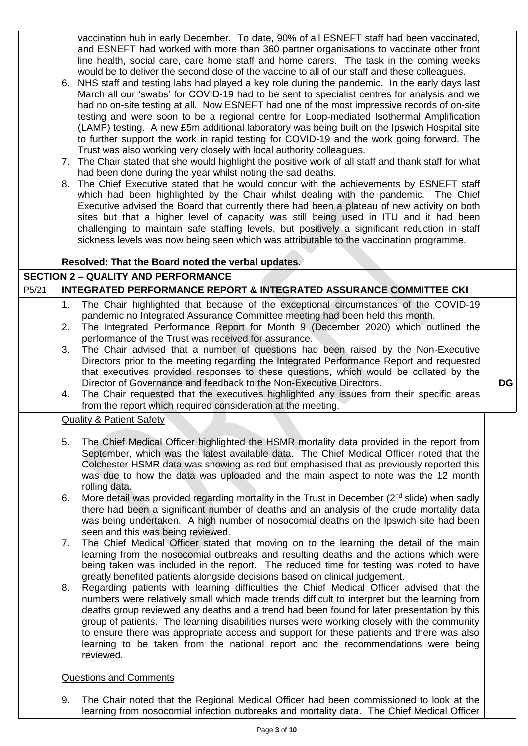vaccination hub in early December. To date, 90% of all ESNEFT staff had been vaccinated, and ESNEFT had worked with more than 360 partner organisations to vaccinate other front line health, social care, care home staff and home carers. The task in the coming weeks would be to deliver the second dose of the vaccine to all of our staff and these colleagues.

- 6. NHS staff and testing labs had played a key role during the pandemic. In the early days last March all our 'swabs' for COVID-19 had to be sent to specialist centres for analysis and we had no on-site testing at all. Now ESNEFT had one of the most impressive records of on-site testing and were soon to be a regional centre for Loop-mediated Isothermal Amplification (LAMP) testing. A new £5m additional laboratory was being built on the Ipswich Hospital site to further support the work in rapid testing for COVID-19 and the work going forward. The Trust was also working very closely with local authority colleagues.
- 7. The Chair stated that she would highlight the positive work of all staff and thank staff for what had been done during the year whilst noting the sad deaths.
- 8. The Chief Executive stated that he would concur with the achievements by ESNEFT staff which had been highlighted by the Chair whilst dealing with the pandemic. The Chief Executive advised the Board that currently there had been a plateau of new activity on both sites but that a higher level of capacity was still being used in ITU and it had been challenging to maintain safe staffing levels, but positively a significant reduction in staff sickness levels was now being seen which was attributable to the vaccination programme.

#### **Resolved: That the Board noted the verbal updates.**

### **SECTION 2 – QUALITY AND PERFORMANCE** P5/21 **INTEGRATED PERFORMANCE REPORT & INTEGRATED ASSURANCE COMMITTEE CKI** 1. The Chair highlighted that because of the exceptional circumstances of the COVID-19 pandemic no Integrated Assurance Committee meeting had been held this month. 2. The Integrated Performance Report for Month 9 (December 2020) which outlined the performance of the Trust was received for assurance. 3. The Chair advised that a number of questions had been raised by the Non-Executive Directors prior to the meeting regarding the Integrated Performance Report and requested that executives provided responses to these questions, which would be collated by the Director of Governance and feedback to the Non-Executive Directors. 4. The Chair requested that the executives highlighted any issues from their specific areas from the report which required consideration at the meeting. **DG** Quality & Patient Safety 5. The Chief Medical Officer highlighted the HSMR mortality data provided in the report from September, which was the latest available data. The Chief Medical Officer noted that the Colchester HSMR data was showing as red but emphasised that as previously reported this was due to how the data was uploaded and the main aspect to note was the 12 month rolling data. 6. More detail was provided regarding mortality in the Trust in December ( $2<sup>nd</sup>$  slide) when sadly there had been a significant number of deaths and an analysis of the crude mortality data was being undertaken. A high number of nosocomial deaths on the Ipswich site had been seen and this was being reviewed. 7. The Chief Medical Officer stated that moving on to the learning the detail of the main learning from the nosocomial outbreaks and resulting deaths and the actions which were being taken was included in the report. The reduced time for testing was noted to have greatly benefited patients alongside decisions based on clinical judgement. 8. Regarding patients with learning difficulties the Chief Medical Officer advised that the numbers were relatively small which made trends difficult to interpret but the learning from deaths group reviewed any deaths and a trend had been found for later presentation by this group of patients. The learning disabilities nurses were working closely with the community to ensure there was appropriate access and support for these patients and there was also learning to be taken from the national report and the recommendations were being reviewed. Questions and Comments

9. The Chair noted that the Regional Medical Officer had been commissioned to look at the learning from nosocomial infection outbreaks and mortality data. The Chief Medical Officer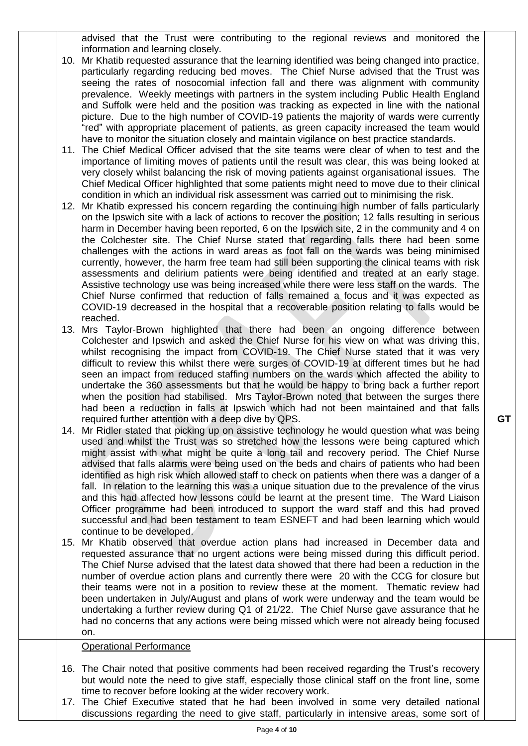advised that the Trust were contributing to the regional reviews and monitored the information and learning closely.

- 10. Mr Khatib requested assurance that the learning identified was being changed into practice, particularly regarding reducing bed moves. The Chief Nurse advised that the Trust was seeing the rates of nosocomial infection fall and there was alignment with community prevalence. Weekly meetings with partners in the system including Public Health England and Suffolk were held and the position was tracking as expected in line with the national picture. Due to the high number of COVID-19 patients the majority of wards were currently "red" with appropriate placement of patients, as green capacity increased the team would have to monitor the situation closely and maintain vigilance on best practice standards.
- 11. The Chief Medical Officer advised that the site teams were clear of when to test and the importance of limiting moves of patients until the result was clear, this was being looked at very closely whilst balancing the risk of moving patients against organisational issues. The Chief Medical Officer highlighted that some patients might need to move due to their clinical condition in which an individual risk assessment was carried out to minimising the risk.
- 12. Mr Khatib expressed his concern regarding the continuing high number of falls particularly on the Ipswich site with a lack of actions to recover the position; 12 falls resulting in serious harm in December having been reported, 6 on the Ipswich site, 2 in the community and 4 on the Colchester site. The Chief Nurse stated that regarding falls there had been some challenges with the actions in ward areas as foot fall on the wards was being minimised currently, however, the harm free team had still been supporting the clinical teams with risk assessments and delirium patients were being identified and treated at an early stage. Assistive technology use was being increased while there were less staff on the wards. The Chief Nurse confirmed that reduction of falls remained a focus and it was expected as COVID-19 decreased in the hospital that a recoverable position relating to falls would be reached.
- 13. Mrs Taylor-Brown highlighted that there had been an ongoing difference between Colchester and Ipswich and asked the Chief Nurse for his view on what was driving this, whilst recognising the impact from COVID-19. The Chief Nurse stated that it was very difficult to review this whilst there were surges of COVID-19 at different times but he had seen an impact from reduced staffing numbers on the wards which affected the ability to undertake the 360 assessments but that he would be happy to bring back a further report when the position had stabilised. Mrs Taylor-Brown noted that between the surges there had been a reduction in falls at Ipswich which had not been maintained and that falls required further attention with a deep dive by QPS.
- 14. Mr Ridler stated that picking up on assistive technology he would question what was being used and whilst the Trust was so stretched how the lessons were being captured which might assist with what might be quite a long tail and recovery period. The Chief Nurse advised that falls alarms were being used on the beds and chairs of patients who had been identified as high risk which allowed staff to check on patients when there was a danger of a fall. In relation to the learning this was a unique situation due to the prevalence of the virus and this had affected how lessons could be learnt at the present time. The Ward Liaison Officer programme had been introduced to support the ward staff and this had proved successful and had been testament to team ESNEFT and had been learning which would continue to be developed.
- 15. Mr Khatib observed that overdue action plans had increased in December data and requested assurance that no urgent actions were being missed during this difficult period. The Chief Nurse advised that the latest data showed that there had been a reduction in the number of overdue action plans and currently there were 20 with the CCG for closure but their teams were not in a position to review these at the moment. Thematic review had been undertaken in July/August and plans of work were underway and the team would be undertaking a further review during Q1 of 21/22. The Chief Nurse gave assurance that he had no concerns that any actions were being missed which were not already being focused on.

#### Operational Performance

- 16. The Chair noted that positive comments had been received regarding the Trust's recovery but would note the need to give staff, especially those clinical staff on the front line, some time to recover before looking at the wider recovery work.
- 17. The Chief Executive stated that he had been involved in some very detailed national discussions regarding the need to give staff, particularly in intensive areas, some sort of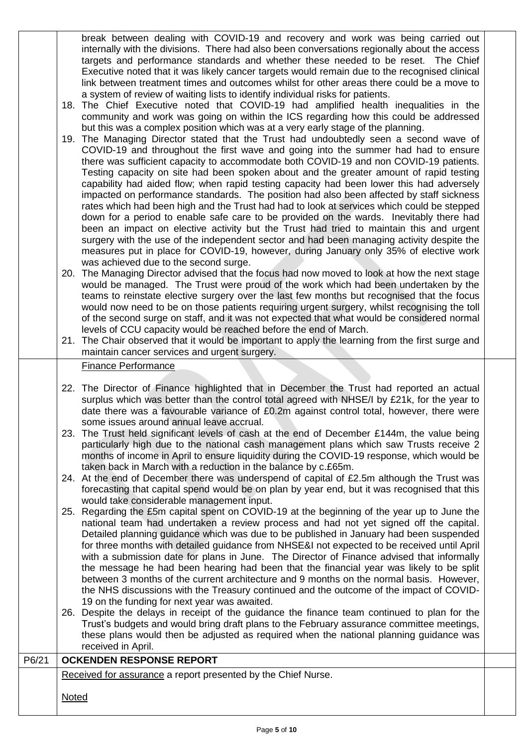break between dealing with COVID-19 and recovery and work was being carried out internally with the divisions. There had also been conversations regionally about the access targets and performance standards and whether these needed to be reset. The Chief Executive noted that it was likely cancer targets would remain due to the recognised clinical link between treatment times and outcomes whilst for other areas there could be a move to a system of review of waiting lists to identify individual risks for patients.

- 18. The Chief Executive noted that COVID-19 had amplified health inequalities in the community and work was going on within the ICS regarding how this could be addressed but this was a complex position which was at a very early stage of the planning.
- 19. The Managing Director stated that the Trust had undoubtedly seen a second wave of COVID-19 and throughout the first wave and going into the summer had had to ensure there was sufficient capacity to accommodate both COVID-19 and non COVID-19 patients. Testing capacity on site had been spoken about and the greater amount of rapid testing capability had aided flow; when rapid testing capacity had been lower this had adversely impacted on performance standards. The position had also been affected by staff sickness rates which had been high and the Trust had had to look at services which could be stepped down for a period to enable safe care to be provided on the wards. Inevitably there had been an impact on elective activity but the Trust had tried to maintain this and urgent surgery with the use of the independent sector and had been managing activity despite the measures put in place for COVID-19, however, during January only 35% of elective work was achieved due to the second surge.
- 20. The Managing Director advised that the focus had now moved to look at how the next stage would be managed. The Trust were proud of the work which had been undertaken by the teams to reinstate elective surgery over the last few months but recognised that the focus would now need to be on those patients requiring urgent surgery, whilst recognising the toll of the second surge on staff, and it was not expected that what would be considered normal levels of CCU capacity would be reached before the end of March.
- 21. The Chair observed that it would be important to apply the learning from the first surge and maintain cancer services and urgent surgery.

#### Finance Performance

- 22. The Director of Finance highlighted that in December the Trust had reported an actual surplus which was better than the control total agreed with NHSE/I by £21k, for the year to date there was a favourable variance of £0.2m against control total, however, there were some issues around annual leave accrual.
- 23. The Trust held significant levels of cash at the end of December £144m, the value being particularly high due to the national cash management plans which saw Trusts receive 2 months of income in April to ensure liquidity during the COVID-19 response, which would be taken back in March with a reduction in the balance by c.£65m.
- 24. At the end of December there was underspend of capital of £2.5m although the Trust was forecasting that capital spend would be on plan by year end, but it was recognised that this would take considerable management input.
- 25. Regarding the £5m capital spent on COVID-19 at the beginning of the year up to June the national team had undertaken a review process and had not yet signed off the capital. Detailed planning guidance which was due to be published in January had been suspended for three months with detailed guidance from NHSE&I not expected to be received until April with a submission date for plans in June. The Director of Finance advised that informally the message he had been hearing had been that the financial year was likely to be split between 3 months of the current architecture and 9 months on the normal basis. However, the NHS discussions with the Treasury continued and the outcome of the impact of COVID-19 on the funding for next year was awaited.
- 26. Despite the delays in receipt of the guidance the finance team continued to plan for the Trust's budgets and would bring draft plans to the February assurance committee meetings, these plans would then be adjusted as required when the national planning guidance was received in April.

# P6/21 **OCKENDEN RESPONSE REPORT** Received for assurance a report presented by the Chief Nurse. **Noted**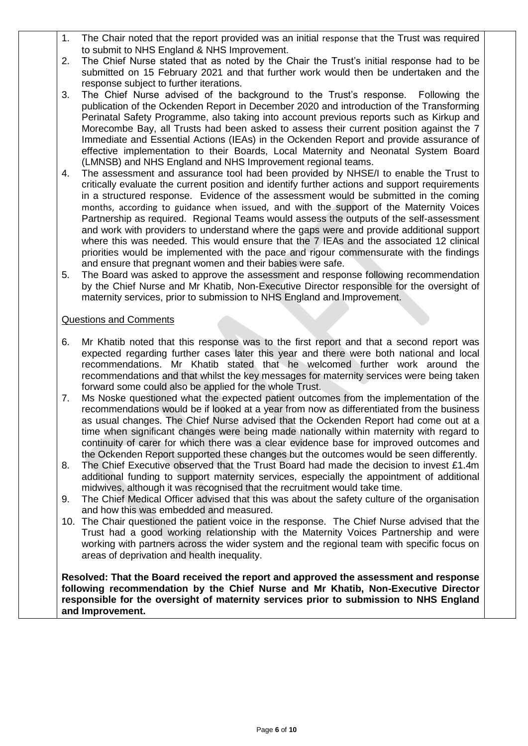- 1. The Chair noted that the report provided was an initial response that the Trust was required to submit to NHS England & NHS Improvement.
- 2. The Chief Nurse stated that as noted by the Chair the Trust's initial response had to be submitted on 15 February 2021 and that further work would then be undertaken and the response subject to further iterations.
- 3. The Chief Nurse advised of the background to the Trust's response. Following the publication of the Ockenden Report in December 2020 and introduction of the Transforming Perinatal Safety Programme, also taking into account previous reports such as Kirkup and Morecombe Bay, all Trusts had been asked to assess their current position against the 7 Immediate and Essential Actions (IEAs) in the Ockenden Report and provide assurance of effective implementation to their Boards, Local Maternity and Neonatal System Board (LMNSB) and NHS England and NHS Improvement regional teams.
- 4. The assessment and assurance tool had been provided by NHSE/I to enable the Trust to critically evaluate the current position and identify further actions and support requirements in a structured response. Evidence of the assessment would be submitted in the coming months, according to guidance when issued, and with the support of the Maternity Voices Partnership as required. Regional Teams would assess the outputs of the self-assessment and work with providers to understand where the gaps were and provide additional support where this was needed. This would ensure that the 7 IEAs and the associated 12 clinical priorities would be implemented with the pace and rigour commensurate with the findings and ensure that pregnant women and their babies were safe.
- 5. The Board was asked to approve the assessment and response following recommendation by the Chief Nurse and Mr Khatib, Non-Executive Director responsible for the oversight of maternity services, prior to submission to NHS England and Improvement.

#### Questions and Comments

- 6. Mr Khatib noted that this response was to the first report and that a second report was expected regarding further cases later this year and there were both national and local recommendations. Mr Khatib stated that he welcomed further work around the recommendations and that whilst the key messages for maternity services were being taken forward some could also be applied for the whole Trust.
- 7. Ms Noske questioned what the expected patient outcomes from the implementation of the recommendations would be if looked at a year from now as differentiated from the business as usual changes. The Chief Nurse advised that the Ockenden Report had come out at a time when significant changes were being made nationally within maternity with regard to continuity of carer for which there was a clear evidence base for improved outcomes and the Ockenden Report supported these changes but the outcomes would be seen differently.
- 8. The Chief Executive observed that the Trust Board had made the decision to invest £1.4m additional funding to support maternity services, especially the appointment of additional midwives, although it was recognised that the recruitment would take time.
- 9. The Chief Medical Officer advised that this was about the safety culture of the organisation and how this was embedded and measured.
- 10. The Chair questioned the patient voice in the response. The Chief Nurse advised that the Trust had a good working relationship with the Maternity Voices Partnership and were working with partners across the wider system and the regional team with specific focus on areas of deprivation and health inequality.

**Resolved: That the Board received the report and approved the assessment and response following recommendation by the Chief Nurse and Mr Khatib, Non-Executive Director responsible for the oversight of maternity services prior to submission to NHS England and Improvement.**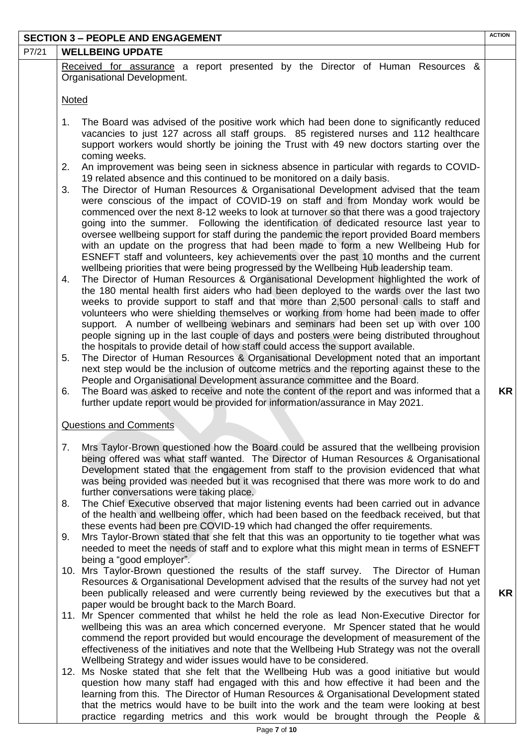|       | <b>SECTION 3 - PEOPLE AND ENGAGEMENT</b>                                                                                                                                                | <b>ACTION</b> |
|-------|-----------------------------------------------------------------------------------------------------------------------------------------------------------------------------------------|---------------|
| P7/21 | <b>WELLBEING UPDATE</b>                                                                                                                                                                 |               |
|       | Received for assurance a report presented by the Director of Human Resources &                                                                                                          |               |
|       | Organisational Development.                                                                                                                                                             |               |
|       |                                                                                                                                                                                         |               |
|       | <b>Noted</b>                                                                                                                                                                            |               |
|       |                                                                                                                                                                                         |               |
|       | The Board was advised of the positive work which had been done to significantly reduced<br>1.<br>vacancies to just 127 across all staff groups. 85 registered nurses and 112 healthcare |               |
|       | support workers would shortly be joining the Trust with 49 new doctors starting over the                                                                                                |               |
|       | coming weeks.                                                                                                                                                                           |               |
|       | An improvement was being seen in sickness absence in particular with regards to COVID-<br>2.                                                                                            |               |
|       | 19 related absence and this continued to be monitored on a daily basis.                                                                                                                 |               |
|       | The Director of Human Resources & Organisational Development advised that the team<br>3.                                                                                                |               |
|       | were conscious of the impact of COVID-19 on staff and from Monday work would be                                                                                                         |               |
|       | commenced over the next 8-12 weeks to look at turnover so that there was a good trajectory                                                                                              |               |
|       | going into the summer. Following the identification of dedicated resource last year to                                                                                                  |               |
|       | oversee wellbeing support for staff during the pandemic the report provided Board members                                                                                               |               |
|       | with an update on the progress that had been made to form a new Wellbeing Hub for                                                                                                       |               |
|       | ESNEFT staff and volunteers, key achievements over the past 10 months and the current                                                                                                   |               |
|       | wellbeing priorities that were being progressed by the Wellbeing Hub leadership team.<br>The Director of Human Resources & Organisational Development highlighted the work of<br>4.     |               |
|       | the 180 mental health first aiders who had been deployed to the wards over the last two                                                                                                 |               |
|       | weeks to provide support to staff and that more than 2,500 personal calls to staff and                                                                                                  |               |
|       | volunteers who were shielding themselves or working from home had been made to offer                                                                                                    |               |
|       | support. A number of wellbeing webinars and seminars had been set up with over 100                                                                                                      |               |
|       | people signing up in the last couple of days and posters were being distributed throughout                                                                                              |               |
|       | the hospitals to provide detail of how staff could access the support available.                                                                                                        |               |
|       | The Director of Human Resources & Organisational Development noted that an important<br>5.                                                                                              |               |
|       | next step would be the inclusion of outcome metrics and the reporting against these to the                                                                                              |               |
|       | People and Organisational Development assurance committee and the Board.<br>The Board was asked to receive and note the content of the report and was informed that a<br>6.             | <b>KR</b>     |
|       | further update report would be provided for information/assurance in May 2021.                                                                                                          |               |
|       |                                                                                                                                                                                         |               |
|       | <b>Questions and Comments</b>                                                                                                                                                           |               |
|       |                                                                                                                                                                                         |               |
|       | Mrs Taylor-Brown questioned how the Board could be assured that the wellbeing provision<br>7.                                                                                           |               |
|       | being offered was what staff wanted. The Director of Human Resources & Organisational                                                                                                   |               |
|       | Development stated that the engagement from staff to the provision evidenced that what                                                                                                  |               |
|       | was being provided was needed but it was recognised that there was more work to do and                                                                                                  |               |
|       | further conversations were taking place.<br>The Chief Executive observed that major listening events had been carried out in advance<br>8.                                              |               |
|       | of the health and wellbeing offer, which had been based on the feedback received, but that                                                                                              |               |
|       | these events had been pre COVID-19 which had changed the offer requirements.                                                                                                            |               |
|       | Mrs Taylor-Brown stated that she felt that this was an opportunity to tie together what was<br>9.                                                                                       |               |
|       | needed to meet the needs of staff and to explore what this might mean in terms of ESNEFT                                                                                                |               |
|       | being a "good employer".                                                                                                                                                                |               |
|       | 10. Mrs Taylor-Brown questioned the results of the staff survey. The Director of Human                                                                                                  |               |
|       | Resources & Organisational Development advised that the results of the survey had not yet                                                                                               |               |
|       | been publically released and were currently being reviewed by the executives but that a                                                                                                 | <b>KR</b>     |
|       | paper would be brought back to the March Board.                                                                                                                                         |               |
|       | 11. Mr Spencer commented that whilst he held the role as lead Non-Executive Director for<br>wellbeing this was an area which concerned everyone. Mr Spencer stated that he would        |               |
|       | commend the report provided but would encourage the development of measurement of the                                                                                                   |               |
|       | effectiveness of the initiatives and note that the Wellbeing Hub Strategy was not the overall                                                                                           |               |
|       | Wellbeing Strategy and wider issues would have to be considered.                                                                                                                        |               |
|       | 12. Ms Noske stated that she felt that the Wellbeing Hub was a good initiative but would                                                                                                |               |
|       | question how many staff had engaged with this and how effective it had been and the                                                                                                     |               |
|       | learning from this. The Director of Human Resources & Organisational Development stated                                                                                                 |               |

that the metrics would have to be built into the work and the team were looking at best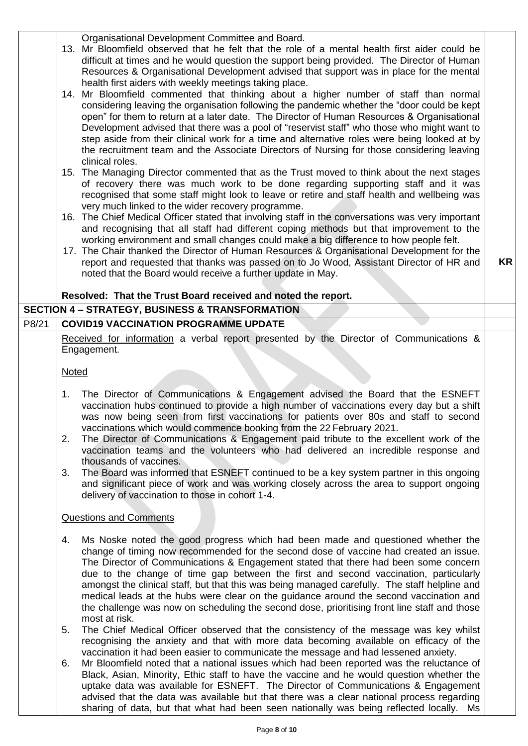|       | Organisational Development Committee and Board.<br>13. Mr Bloomfield observed that he felt that the role of a mental health first aider could be<br>difficult at times and he would question the support being provided. The Director of Human<br>Resources & Organisational Development advised that support was in place for the mental<br>health first aiders with weekly meetings taking place.<br>14. Mr Bloomfield commented that thinking about a higher number of staff than normal<br>considering leaving the organisation following the pandemic whether the "door could be kept<br>open" for them to return at a later date. The Director of Human Resources & Organisational<br>Development advised that there was a pool of "reservist staff" who those who might want to<br>step aside from their clinical work for a time and alternative roles were being looked at by<br>the recruitment team and the Associate Directors of Nursing for those considering leaving<br>clinical roles.<br>15. The Managing Director commented that as the Trust moved to think about the next stages |           |
|-------|------------------------------------------------------------------------------------------------------------------------------------------------------------------------------------------------------------------------------------------------------------------------------------------------------------------------------------------------------------------------------------------------------------------------------------------------------------------------------------------------------------------------------------------------------------------------------------------------------------------------------------------------------------------------------------------------------------------------------------------------------------------------------------------------------------------------------------------------------------------------------------------------------------------------------------------------------------------------------------------------------------------------------------------------------------------------------------------------------|-----------|
|       | of recovery there was much work to be done regarding supporting staff and it was<br>recognised that some staff might look to leave or retire and staff health and wellbeing was<br>very much linked to the wider recovery programme.<br>16. The Chief Medical Officer stated that involving staff in the conversations was very important                                                                                                                                                                                                                                                                                                                                                                                                                                                                                                                                                                                                                                                                                                                                                            |           |
|       | and recognising that all staff had different coping methods but that improvement to the<br>working environment and small changes could make a big difference to how people felt.<br>17. The Chair thanked the Director of Human Resources & Organisational Development for the<br>report and requested that thanks was passed on to Jo Wood, Assistant Director of HR and<br>noted that the Board would receive a further update in May.<br>Resolved: That the Trust Board received and noted the report.                                                                                                                                                                                                                                                                                                                                                                                                                                                                                                                                                                                            | <b>KR</b> |
|       | <b>SECTION 4 - STRATEGY, BUSINESS &amp; TRANSFORMATION</b>                                                                                                                                                                                                                                                                                                                                                                                                                                                                                                                                                                                                                                                                                                                                                                                                                                                                                                                                                                                                                                           |           |
| P8/21 | <b>COVID19 VACCINATION PROGRAMME UPDATE</b>                                                                                                                                                                                                                                                                                                                                                                                                                                                                                                                                                                                                                                                                                                                                                                                                                                                                                                                                                                                                                                                          |           |
|       | Received for information a verbal report presented by the Director of Communications &<br>Engagement.                                                                                                                                                                                                                                                                                                                                                                                                                                                                                                                                                                                                                                                                                                                                                                                                                                                                                                                                                                                                |           |
|       | <b>Noted</b>                                                                                                                                                                                                                                                                                                                                                                                                                                                                                                                                                                                                                                                                                                                                                                                                                                                                                                                                                                                                                                                                                         |           |
|       | The Director of Communications & Engagement advised the Board that the ESNEFT<br>1.<br>vaccination hubs continued to provide a high number of vaccinations every day but a shift<br>was now being seen from first vaccinations for patients over 80s and staff to second<br>vaccinations which would commence booking from the 22 February 2021.<br>The Director of Communications & Engagement paid tribute to the excellent work of the<br>2.<br>vaccination teams and the volunteers who had delivered an incredible response and<br>thousands of vaccines.<br>The Board was informed that ESNEFT continued to be a key system partner in this ongoing<br>3.<br>and significant piece of work and was working closely across the area to support ongoing<br>delivery of vaccination to those in cohort 1-4.                                                                                                                                                                                                                                                                                       |           |
|       | <b>Questions and Comments</b>                                                                                                                                                                                                                                                                                                                                                                                                                                                                                                                                                                                                                                                                                                                                                                                                                                                                                                                                                                                                                                                                        |           |
|       | Ms Noske noted the good progress which had been made and questioned whether the<br>4.<br>change of timing now recommended for the second dose of vaccine had created an issue.<br>The Director of Communications & Engagement stated that there had been some concern<br>due to the change of time gap between the first and second vaccination, particularly<br>amongst the clinical staff, but that this was being managed carefully. The staff helpline and<br>medical leads at the hubs were clear on the guidance around the second vaccination and<br>the challenge was now on scheduling the second dose, prioritising front line staff and those<br>most at risk.                                                                                                                                                                                                                                                                                                                                                                                                                            |           |
|       | The Chief Medical Officer observed that the consistency of the message was key whilst<br>5.<br>recognising the anxiety and that with more data becoming available on efficacy of the<br>vaccination it had been easier to communicate the message and had lessened anxiety.<br>Mr Bloomfield noted that a national issues which had been reported was the reluctance of<br>6.<br>Black, Asian, Minority, Ethic staff to have the vaccine and he would question whether the<br>uptake data was available for ESNEFT. The Director of Communications & Engagement<br>advised that the data was available but that there was a clear national process regarding<br>sharing of data, but that what had been seen nationally was being reflected locally.<br>Ms                                                                                                                                                                                                                                                                                                                                           |           |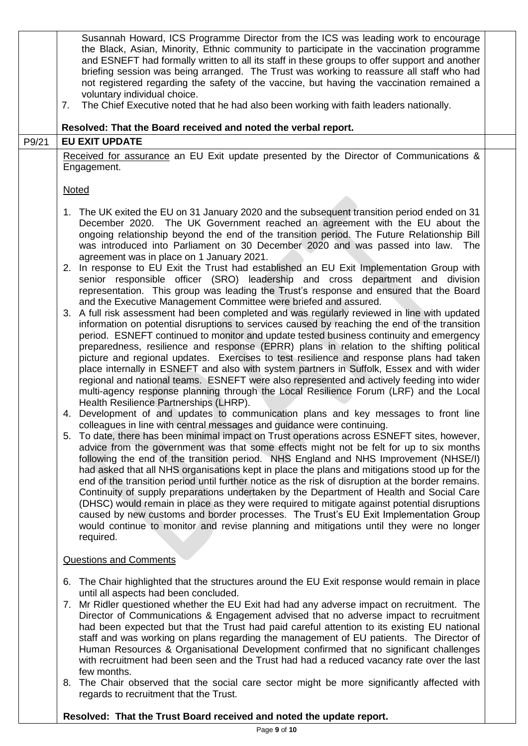|       | Susannah Howard, ICS Programme Director from the ICS was leading work to encourage<br>the Black, Asian, Minority, Ethnic community to participate in the vaccination programme<br>and ESNEFT had formally written to all its staff in these groups to offer support and another<br>briefing session was being arranged. The Trust was working to reassure all staff who had<br>not registered regarding the safety of the vaccine, but having the vaccination remained a<br>voluntary individual choice.<br>The Chief Executive noted that he had also been working with faith leaders nationally.<br>7.<br>Resolved: That the Board received and noted the verbal report.                                                                                                                                                                                                                                                                                                                                                                         |  |
|-------|----------------------------------------------------------------------------------------------------------------------------------------------------------------------------------------------------------------------------------------------------------------------------------------------------------------------------------------------------------------------------------------------------------------------------------------------------------------------------------------------------------------------------------------------------------------------------------------------------------------------------------------------------------------------------------------------------------------------------------------------------------------------------------------------------------------------------------------------------------------------------------------------------------------------------------------------------------------------------------------------------------------------------------------------------|--|
| P9/21 | <b>EU EXIT UPDATE</b>                                                                                                                                                                                                                                                                                                                                                                                                                                                                                                                                                                                                                                                                                                                                                                                                                                                                                                                                                                                                                              |  |
|       | Received for assurance an EU Exit update presented by the Director of Communications &<br>Engagement.                                                                                                                                                                                                                                                                                                                                                                                                                                                                                                                                                                                                                                                                                                                                                                                                                                                                                                                                              |  |
|       | <b>Noted</b>                                                                                                                                                                                                                                                                                                                                                                                                                                                                                                                                                                                                                                                                                                                                                                                                                                                                                                                                                                                                                                       |  |
|       | 1. The UK exited the EU on 31 January 2020 and the subsequent transition period ended on 31<br>December 2020. The UK Government reached an agreement with the EU about the<br>ongoing relationship beyond the end of the transition period. The Future Relationship Bill<br>was introduced into Parliament on 30 December 2020 and was passed into law. The<br>agreement was in place on 1 January 2021.<br>2. In response to EU Exit the Trust had established an EU Exit Implementation Group with<br>senior responsible officer (SRO) leadership and cross department and division<br>representation. This group was leading the Trust's response and ensured that the Board                                                                                                                                                                                                                                                                                                                                                                    |  |
|       | and the Executive Management Committee were briefed and assured.<br>3. A full risk assessment had been completed and was regularly reviewed in line with updated<br>information on potential disruptions to services caused by reaching the end of the transition<br>period. ESNEFT continued to monitor and update tested business continuity and emergency<br>preparedness, resilience and response (EPRR) plans in relation to the shifting political<br>picture and regional updates. Exercises to test resilience and response plans had taken<br>place internally in ESNEFT and also with system partners in Suffolk, Essex and with wider<br>regional and national teams. ESNEFT were also represented and actively feeding into wider<br>multi-agency response planning through the Local Resilience Forum (LRF) and the Local<br>Health Resilience Partnerships (LHRP).                                                                                                                                                                   |  |
|       | 4. Development of and updates to communication plans and key messages to front line<br>colleagues in line with central messages and guidance were continuing.<br>5. To date, there has been minimal impact on Trust operations across ESNEFT sites, however,<br>advice from the government was that some effects might not be felt for up to six months<br>following the end of the transition period. NHS England and NHS Improvement (NHSE/I)<br>had asked that all NHS organisations kept in place the plans and mitigations stood up for the<br>end of the transition period until further notice as the risk of disruption at the border remains.<br>Continuity of supply preparations undertaken by the Department of Health and Social Care<br>(DHSC) would remain in place as they were required to mitigate against potential disruptions<br>caused by new customs and border processes. The Trust's EU Exit Implementation Group<br>would continue to monitor and revise planning and mitigations until they were no longer<br>required. |  |
|       | <b>Questions and Comments</b>                                                                                                                                                                                                                                                                                                                                                                                                                                                                                                                                                                                                                                                                                                                                                                                                                                                                                                                                                                                                                      |  |
|       | 6. The Chair highlighted that the structures around the EU Exit response would remain in place<br>until all aspects had been concluded.<br>7. Mr Ridler questioned whether the EU Exit had had any adverse impact on recruitment. The<br>Director of Communications & Engagement advised that no adverse impact to recruitment<br>had been expected but that the Trust had paid careful attention to its existing EU national<br>staff and was working on plans regarding the management of EU patients. The Director of<br>Human Resources & Organisational Development confirmed that no significant challenges<br>with recruitment had been seen and the Trust had had a reduced vacancy rate over the last<br>few months.<br>8. The Chair observed that the social care sector might be more significantly affected with                                                                                                                                                                                                                       |  |
|       | regards to recruitment that the Trust.                                                                                                                                                                                                                                                                                                                                                                                                                                                                                                                                                                                                                                                                                                                                                                                                                                                                                                                                                                                                             |  |

# **Resolved: That the Trust Board received and noted the update report.**